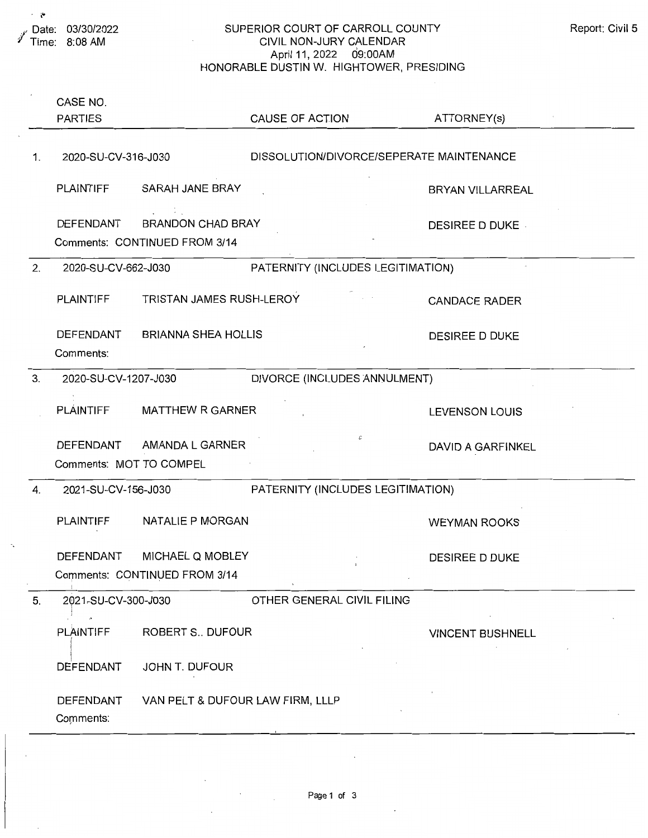$\hat{\mathbf{r}}$ 

## SUPERIOR COURT OF CARROLL COUNTY CIVIL NON-JURY CALENDAR April 11, 2022 09:00AM HONORABLE DUSTIN W. HIGHTOWER, PRESIDING

|    | CASE NO.<br><b>PARTIES</b> |                                                           | CAUSE OF ACTION                          | ATTORNEY(s)             |
|----|----------------------------|-----------------------------------------------------------|------------------------------------------|-------------------------|
| 1. | 2020-SU-CV-316-J030        |                                                           | DISSOLUTION/DIVORCE/SEPERATE MAINTENANCE |                         |
|    |                            | PLAINTIFF SARAH JANE BRAY                                 |                                          | <b>BRYAN VILLARREAL</b> |
|    | DEFENDANT                  | <b>BRANDON CHAD BRAY</b><br>Comments: CONTINUED FROM 3/14 |                                          | <b>DESIREE D DUKE</b>   |
| 2. | 2020-SU-CV-662-J030        |                                                           | PATERNITY (INCLUDES LEGITIMATION)        |                         |
|    | PLAINTIFF                  | TRISTAN JAMES RUSH-LEROY                                  |                                          | <b>CANDACE RADER</b>    |
|    | DEFENDANT<br>Comments:     | <b>BRIANNA SHEA HOLLIS</b>                                |                                          | <b>DESIREE D DUKE</b>   |
| 3. | 2020-SU-CV-1207-J030       |                                                           | DIVORCE (INCLUDES ANNULMENT)             |                         |
|    | PLÁINTIFF                  | <b>MATTHEW R GARNER</b>                                   |                                          | <b>LEVENSON LOUIS</b>   |
|    | Comments: MOT TO COMPEL    | DEFENDANT AMANDA L GARNER                                 | $\mathcal C$                             | DAVID A GARFINKEL       |
| 4. | 2021-SU-CV-156-J030        |                                                           | PATERNITY (INCLUDES LEGITIMATION)        |                         |
|    | <b>PLAINTIFF</b>           | NATALIE P MORGAN                                          |                                          | <b>WEYMAN ROOKS</b>     |
|    | DEFENDANT                  | MICHAEL Q MOBLEY                                          |                                          | DESIREE D DUKE          |
|    |                            | Comments: CONTINUED FROM 3/14                             |                                          |                         |
| 5. | 2021-SU-CV-300-J030        |                                                           | OTHER GENERAL CIVIL FILING               |                         |
|    | PLAINTIFF                  | <b>ROBERT S., DUFOUR</b>                                  |                                          | <b>VINCENT BUSHNELL</b> |
|    | <b>DEFENDANT</b>           | JOHN T. DUFOUR                                            |                                          |                         |
|    | DEFENDANT<br>Comments:     | VAN PELT & DUFOUR LAW FIRM, LLLP                          |                                          |                         |

 $\Delta \sim 1$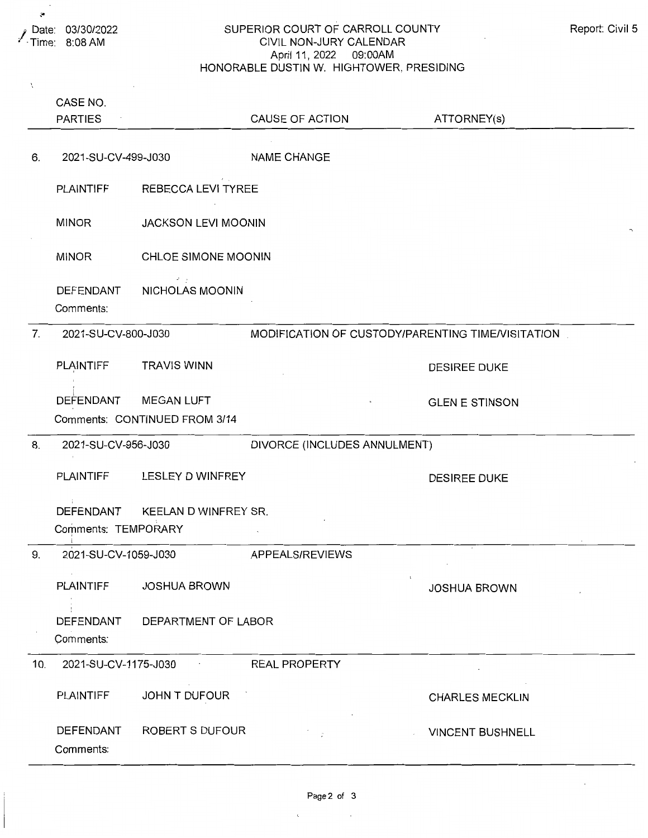$\hat{\mathbf{v}}$ 

## SUPERIOR COURT OF CARROLL COUNTY CIVIL NON-JURY CALENDAR April 11, 2022 09:00AM HONORABLE DUSTIN W. HIGHTOWER, PRESIDING

| Report: Civil 5 |  |  |
|-----------------|--|--|
|-----------------|--|--|

| X              |                      |                               |                                                   |                        |
|----------------|----------------------|-------------------------------|---------------------------------------------------|------------------------|
|                | CASE NO.             |                               |                                                   |                        |
|                | <b>PARTIES</b>       |                               | CAUSE OF ACTION                                   | ATTORNEY(s)            |
|                |                      |                               |                                                   |                        |
| 6.             | 2021-SU-CV-499-J030  |                               | <b>NAME CHANGE</b>                                |                        |
|                |                      |                               |                                                   |                        |
|                | PLAINTIFF            | REBECCA LEVI TYREE            |                                                   |                        |
|                |                      |                               |                                                   |                        |
|                | <b>MINOR</b>         | <b>JACKSON LEVI MOONIN</b>    |                                                   |                        |
|                |                      |                               |                                                   |                        |
|                | <b>MINOR</b>         | CHLOE SIMONE MOONIN           |                                                   |                        |
|                |                      | A.                            |                                                   |                        |
|                | DEFENDANT            | NICHOLAS MOONIN               |                                                   |                        |
|                | Comments:            |                               |                                                   |                        |
| 7 <sub>1</sub> | 2021-SU-CV-800-J030  |                               | MODIFICATION OF CUSTODY/PARENTING TIME/VISITATION |                        |
|                |                      |                               |                                                   |                        |
|                | PLAINTIFF            | <b>TRAVIS WINN</b>            |                                                   | <b>DESIREE DUKE</b>    |
|                |                      |                               |                                                   |                        |
|                | DEFENDANT            | <b>MEGAN LUFT</b>             |                                                   | <b>GLEN E STINSON</b>  |
|                |                      | Comments: CONTINUED FROM 3/14 |                                                   |                        |
| 8.             | 2021-SU-CV-956-J030  |                               | DIVORCE (INCLUDES ANNULMENT)                      |                        |
|                |                      |                               |                                                   |                        |
|                | <b>PLAINTIFF</b>     | LESLEY D WINFREY              |                                                   | <b>DESIREE DUKE</b>    |
|                |                      |                               |                                                   |                        |
|                | DEFENDANT            | KEELAN D WINFREY SR.          |                                                   |                        |
|                | Comments: TEMPORARY  |                               |                                                   |                        |
| 9.             | 2021-SU-CV-1059-J030 |                               | APPEALS/REVIEWS                                   |                        |
|                |                      |                               |                                                   |                        |
|                | <b>PLAINTIFF</b>     | <b>JOSHUA BROWN</b>           |                                                   | <b>JOSHUA BROWN</b>    |
|                |                      |                               |                                                   |                        |
|                | DEFENDANT            | DEPARTMENT OF LABOR           |                                                   |                        |
|                | Comments:            |                               |                                                   |                        |
| 10.            | 2021-SU-CV-1175-J030 |                               | <b>REAL PROPERTY</b>                              |                        |
|                |                      |                               |                                                   |                        |
|                | <b>PLAINTIFF</b>     | JOHN T DUFOUR                 |                                                   | <b>CHARLES MECKLIN</b> |
|                |                      |                               |                                                   |                        |
|                | DEFENDANT            | ROBERT S DUFOUR               | $\mathcal{L}$                                     | VINCENT BUSHNELL       |
|                | Comments:            |                               |                                                   |                        |
|                |                      |                               |                                                   |                        |

 $\epsilon$